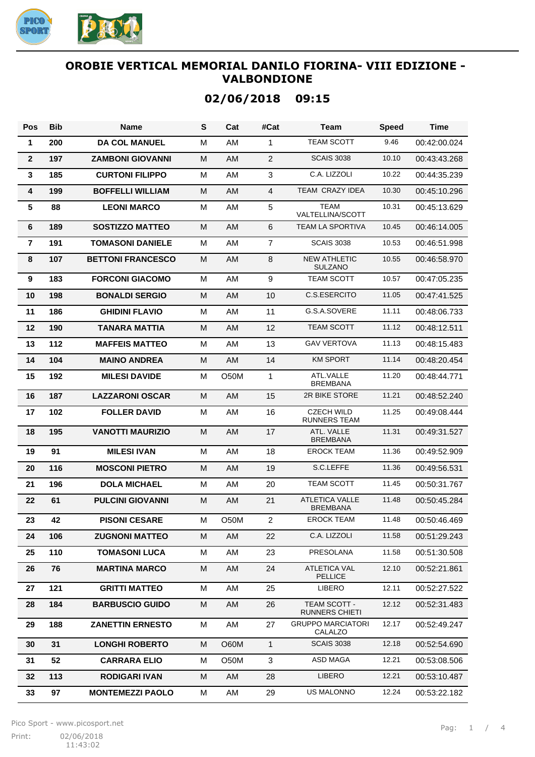

# **02/06/2018 09:15**

| <b>Pos</b>              | <b>Bib</b> | <b>Name</b>              | S | Cat         | #Cat           | <b>Team</b>                              | <b>Speed</b> | <b>Time</b>  |
|-------------------------|------------|--------------------------|---|-------------|----------------|------------------------------------------|--------------|--------------|
| 1                       | 200        | <b>DA COL MANUEL</b>     | м | AM          | $\mathbf{1}$   | <b>TEAM SCOTT</b>                        | 9.46         | 00:42:00.024 |
| $\mathbf{2}$            | 197        | <b>ZAMBONI GIOVANNI</b>  | M | <b>AM</b>   | $\overline{2}$ | <b>SCAIS 3038</b>                        | 10.10        | 00:43:43.268 |
| 3                       | 185        | <b>CURTONI FILIPPO</b>   | M | AM          | 3              | C.A. LIZZOLI                             | 10.22        | 00:44:35.239 |
| 4                       | 199        | <b>BOFFELLI WILLIAM</b>  | M | <b>AM</b>   | $\overline{4}$ | TEAM CRAZY IDEA                          | 10.30        | 00:45:10.296 |
| 5                       | 88         | <b>LEONI MARCO</b>       | м | AM          | 5              | <b>TEAM</b><br>VALTELLINA/SCOTT          | 10.31        | 00:45:13.629 |
| 6                       | 189        | <b>SOSTIZZO MATTEO</b>   | M | <b>AM</b>   | 6              | <b>TEAM LA SPORTIVA</b>                  | 10.45        | 00:46:14.005 |
| $\overline{\mathbf{r}}$ | 191        | <b>TOMASONI DANIELE</b>  | M | AM          | $\overline{7}$ | <b>SCAIS 3038</b>                        | 10.53        | 00:46:51.998 |
| 8                       | 107        | <b>BETTONI FRANCESCO</b> | M | <b>AM</b>   | 8              | <b>NEW ATHLETIC</b><br><b>SULZANO</b>    | 10.55        | 00:46:58.970 |
| 9                       | 183        | <b>FORCONI GIACOMO</b>   | M | AM          | 9              | <b>TEAM SCOTT</b>                        | 10.57        | 00:47:05.235 |
| 10                      | 198        | <b>BONALDI SERGIO</b>    | M | AM          | 10             | C.S.ESERCITO                             | 11.05        | 00:47:41.525 |
| 11                      | 186        | <b>GHIDINI FLAVIO</b>    | M | AM          | 11             | G.S.A.SOVERE                             | 11.11        | 00:48:06.733 |
| 12                      | 190        | <b>TANARA MATTIA</b>     | M | AM          | 12             | <b>TEAM SCOTT</b>                        | 11.12        | 00:48:12.511 |
| 13                      | 112        | <b>MAFFEIS MATTEO</b>    | M | AM          | 13             | <b>GAV VERTOVA</b>                       | 11.13        | 00:48:15.483 |
| 14                      | 104        | <b>MAINO ANDREA</b>      | M | AM          | 14             | <b>KM SPORT</b>                          | 11.14        | 00:48:20.454 |
| 15                      | 192        | <b>MILESI DAVIDE</b>     | M | O50M        | $\mathbf{1}$   | ATL.VALLE<br><b>BREMBANA</b>             | 11.20        | 00:48:44.771 |
| 16                      | 187        | <b>LAZZARONI OSCAR</b>   | м | <b>AM</b>   | 15             | 2R BIKE STORE                            | 11.21        | 00:48:52.240 |
| 17                      | 102        | <b>FOLLER DAVID</b>      | M | AM          | 16             | <b>CZECH WILD</b><br>RUNNERS TEAM        | 11.25        | 00:49:08.444 |
| 18                      | 195        | <b>VANOTTI MAURIZIO</b>  | M | <b>AM</b>   | 17             | ATL. VALLE<br><b>BREMBANA</b>            | 11.31        | 00:49:31.527 |
| 19                      | 91         | <b>MILESI IVAN</b>       | M | AM          | 18             | <b>EROCK TEAM</b>                        | 11.36        | 00:49:52.909 |
| 20                      | 116        | <b>MOSCONI PIETRO</b>    | M | AM          | 19             | S.C.LEFFE                                | 11.36        | 00:49:56.531 |
| 21                      | 196        | <b>DOLA MICHAEL</b>      | M | AM          | 20             | <b>TEAM SCOTT</b>                        | 11.45        | 00:50:31.767 |
| 22                      | 61         | <b>PULCINI GIOVANNI</b>  | M | AM          | 21             | <b>ATLETICA VALLE</b><br><b>BREMBANA</b> | 11.48        | 00:50:45.284 |
| 23                      | 42         | <b>PISONI CESARE</b>     | М | <b>O50M</b> | $\overline{2}$ | <b>EROCK TEAM</b>                        | 11.48        | 00:50:46.469 |
| 24                      | 106        | <b>ZUGNONI MATTEO</b>    | м | AM          | 22             | C.A. LIZZOLI                             | 11.58        | 00:51:29.243 |
| 25                      | 110        | <b>TOMASONI LUCA</b>     | M | AM          | 23             | PRESOLANA                                | 11.58        | 00:51:30.508 |
| 26                      | 76         | <b>MARTINA MARCO</b>     | M | AM          | 24             | ATLETICA VAL<br><b>PELLICE</b>           | 12.10        | 00:52:21.861 |
| 27                      | 121        | <b>GRITTI MATTEO</b>     | M | AM          | 25             | LIBERO                                   | 12.11        | 00:52:27.522 |
| 28                      | 184        | <b>BARBUSCIO GUIDO</b>   | M | AM          | 26             | TEAM SCOTT -<br><b>RUNNERS CHIETI</b>    | 12.12        | 00:52:31.483 |
| 29                      | 188        | <b>ZANETTIN ERNESTO</b>  | м | AM          | 27             | <b>GRUPPO MARCIATORI</b><br>CALALZO      | 12.17        | 00:52:49.247 |
| 30                      | 31         | <b>LONGHI ROBERTO</b>    | M | O60M        | $\mathbf{1}$   | <b>SCAIS 3038</b>                        | 12.18        | 00:52:54.690 |
| 31                      | 52         | <b>CARRARA ELIO</b>      | м | O50M        | 3              | ASD MAGA                                 | 12.21        | 00:53:08.506 |
| 32                      | 113        | <b>RODIGARI IVAN</b>     | M | AM          | 28             | LIBERO                                   | 12.21        | 00:53:10.487 |
| 33                      | 97         | <b>MONTEMEZZI PAOLO</b>  | M | AM          | 29             | US MALONNO                               | 12.24        | 00:53:22.182 |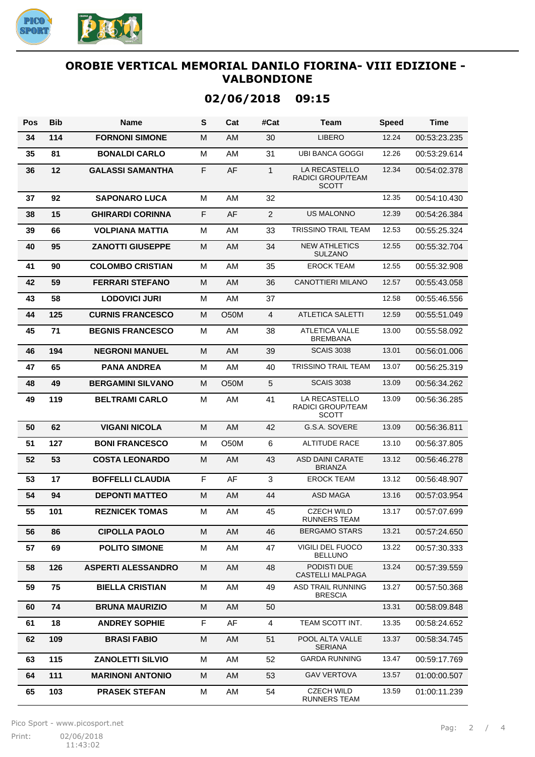

# **02/06/2018 09:15**

| Pos | <b>Bib</b> | <b>Name</b>               | S | Cat         | #Cat           | Team                                                      | <b>Speed</b> | <b>Time</b>  |
|-----|------------|---------------------------|---|-------------|----------------|-----------------------------------------------------------|--------------|--------------|
| 34  | 114        | <b>FORNONI SIMONE</b>     | M | <b>AM</b>   | 30             | LIBERO                                                    | 12.24        | 00:53:23.235 |
| 35  | 81         | <b>BONALDI CARLO</b>      | м | AM          | 31             | <b>UBI BANCA GOGGI</b>                                    | 12.26        | 00:53:29.614 |
| 36  | 12         | GALASSI SAMANTHA          | F | AF          | $\mathbf{1}$   | <b>LA RECASTELLO</b><br>RADICI GROUP/TEAM<br><b>SCOTT</b> | 12.34        | 00:54:02.378 |
| 37  | 92         | <b>SAPONARO LUCA</b>      | M | AM          | 32             |                                                           | 12.35        | 00:54:10.430 |
| 38  | 15         | <b>GHIRARDI CORINNA</b>   | F | AF          | $\overline{c}$ | <b>US MALONNO</b>                                         | 12.39        | 00:54:26.384 |
| 39  | 66         | <b>VOLPIANA MATTIA</b>    | M | AM          | 33             | <b>TRISSINO TRAIL TEAM</b>                                | 12.53        | 00:55:25.324 |
| 40  | 95         | <b>ZANOTTI GIUSEPPE</b>   | M | AM          | 34             | <b>NEW ATHLETICS</b><br><b>SULZANO</b>                    | 12.55        | 00:55:32.704 |
| 41  | 90         | <b>COLOMBO CRISTIAN</b>   | м | AM          | 35             | <b>EROCK TEAM</b>                                         | 12.55        | 00:55:32.908 |
| 42  | 59         | <b>FERRARI STEFANO</b>    | M | <b>AM</b>   | 36             | <b>CANOTTIERI MILANO</b>                                  | 12.57        | 00:55:43.058 |
| 43  | 58         | <b>LODOVICI JURI</b>      | м | AM          | 37             |                                                           | 12.58        | 00:55:46.556 |
| 44  | 125        | <b>CURNIS FRANCESCO</b>   | м | O50M        | $\overline{4}$ | <b>ATLETICA SALETTI</b>                                   | 12.59        | 00:55:51.049 |
| 45  | 71         | <b>BEGNIS FRANCESCO</b>   | м | AM          | 38             | <b>ATLETICA VALLE</b><br><b>BREMBANA</b>                  | 13.00        | 00:55:58.092 |
| 46  | 194        | <b>NEGRONI MANUEL</b>     | M | <b>AM</b>   | 39             | <b>SCAIS 3038</b>                                         | 13.01        | 00:56:01.006 |
| 47  | 65         | <b>PANA ANDREA</b>        | M | AM          | 40             | <b>TRISSINO TRAIL TEAM</b>                                | 13.07        | 00:56:25.319 |
| 48  | 49         | <b>BERGAMINI SILVANO</b>  | M | <b>O50M</b> | 5              | <b>SCAIS 3038</b>                                         | 13.09        | 00:56:34.262 |
| 49  | 119        | <b>BELTRAMI CARLO</b>     | M | AM          | 41             | LA RECASTELLO<br>RADICI GROUP/TEAM<br><b>SCOTT</b>        | 13.09        | 00:56:36.285 |
| 50  | 62         | <b>VIGANI NICOLA</b>      | M | AM          | 42             | G.S.A. SOVERE                                             | 13.09        | 00:56:36.811 |
| 51  | 127        | <b>BONI FRANCESCO</b>     | м | <b>O50M</b> | 6              | <b>ALTITUDE RACE</b>                                      | 13.10        | 00:56:37.805 |
| 52  | 53         | <b>COSTA LEONARDO</b>     | M | <b>AM</b>   | 43             | <b>ASD DAINI CARATE</b><br><b>BRIANZA</b>                 | 13.12        | 00:56:46.278 |
| 53  | 17         | <b>BOFFELLI CLAUDIA</b>   | F | AF          | 3              | <b>EROCK TEAM</b>                                         | 13.12        | 00:56:48.907 |
| 54  | 94         | <b>DEPONTI MATTEO</b>     | M | AM          | 44             | <b>ASD MAGA</b>                                           | 13.16        | 00:57:03.954 |
| 55  | 101        | <b>REZNICEK TOMAS</b>     | M | AM          | 45             | <b>CZECH WILD</b><br><b>RUNNERS TEAM</b>                  | 13.17        | 00:57:07.699 |
| 56  | 86         | <b>CIPOLLA PAOLO</b>      | M | AM          | 46             | BERGAMO STARS                                             | 13.21        | 00:57:24.650 |
| 57  | 69         | <b>POLITO SIMONE</b>      | M | AM          | 47             | VIGILI DEL FUOCO<br><b>BELLUNO</b>                        | 13.22        | 00:57:30.333 |
| 58  | 126        | <b>ASPERTI ALESSANDRO</b> | M | AM          | 48             | PODISTI DUE<br><b>CASTELLI MALPAGA</b>                    | 13.24        | 00:57:39.559 |
| 59  | 75         | <b>BIELLA CRISTIAN</b>    | M | AM          | 49             | ASD TRAIL RUNNING<br><b>BRESCIA</b>                       | 13.27        | 00:57:50.368 |
| 60  | 74         | <b>BRUNA MAURIZIO</b>     | M | AM          | 50             |                                                           | 13.31        | 00:58:09.848 |
| 61  | 18         | <b>ANDREY SOPHIE</b>      | F | AF          | 4              | TEAM SCOTT INT.                                           | 13.35        | 00:58:24.652 |
| 62  | 109        | <b>BRASI FABIO</b>        | M | AM          | 51             | POOL ALTA VALLE<br><b>SERIANA</b>                         | 13.37        | 00:58:34.745 |
| 63  | 115        | <b>ZANOLETTI SILVIO</b>   | M | AM          | 52             | <b>GARDA RUNNING</b>                                      | 13.47        | 00:59:17.769 |
| 64  | 111        | <b>MARINONI ANTONIO</b>   | M | AM.         | 53             | GAV VERTOVA                                               | 13.57        | 01:00:00.507 |
| 65  | 103        | <b>PRASEK STEFAN</b>      | м | AM          | 54             | <b>CZECH WILD</b><br>RUNNERS TEAM                         | 13.59        | 01:00:11.239 |

Pico Sport - www.picosport.net

Print: 02/06/2018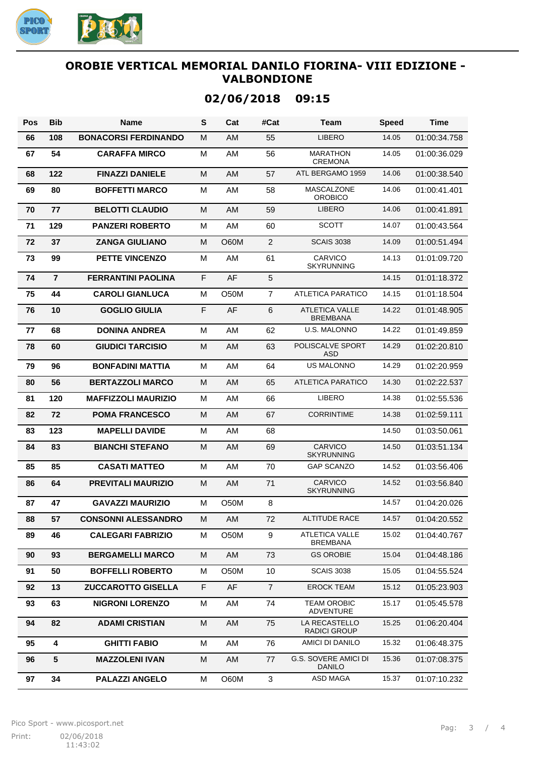

| Pos | <b>Bib</b>      | <b>Name</b>                 | S | Cat         | #Cat             | Team                                         | <b>Speed</b> | Time         |
|-----|-----------------|-----------------------------|---|-------------|------------------|----------------------------------------------|--------------|--------------|
| 66  | 108             | <b>BONACORSI FERDINANDO</b> | M | AM          | 55               | <b>LIBERO</b>                                | 14.05        | 01:00:34.758 |
| 67  | 54              | <b>CARAFFA MIRCO</b>        | M | AM          | 56               | <b>MARATHON</b><br><b>CREMONA</b>            | 14.05        | 01:00:36.029 |
| 68  | 122             | <b>FINAZZI DANIELE</b>      | M | AM          | 57               | ATL BERGAMO 1959                             | 14.06        | 01:00:38.540 |
| 69  | 80              | <b>BOFFETTI MARCO</b>       | M | AM          | 58               | <b>MASCALZONE</b><br><b>OROBICO</b>          | 14.06        | 01:00:41.401 |
| 70  | 77              | <b>BELOTTI CLAUDIO</b>      | M | AM          | 59               | <b>LIBERO</b>                                | 14.06        | 01:00:41.891 |
| 71  | 129             | <b>PANZERI ROBERTO</b>      | M | AM          | 60               | <b>SCOTT</b>                                 | 14.07        | 01:00:43.564 |
| 72  | 37              | <b>ZANGA GIULIANO</b>       | M | <b>O60M</b> | $\overline{2}$   | <b>SCAIS 3038</b>                            | 14.09        | 01:00:51.494 |
| 73  | 99              | <b>PETTE VINCENZO</b>       | M | AM          | 61               | CARVICO<br><b>SKYRUNNING</b>                 | 14.13        | 01:01:09.720 |
| 74  | $\overline{7}$  | <b>FERRANTINI PAOLINA</b>   | F | AF          | 5                |                                              | 14.15        | 01:01:18.372 |
| 75  | 44              | <b>CAROLI GIANLUCA</b>      | M | O50M        | $\overline{7}$   | <b>ATLETICA PARATICO</b>                     | 14.15        | 01:01:18.504 |
| 76  | 10              | <b>GOGLIO GIULIA</b>        | F | AF          | 6                | <b>ATLETICA VALLE</b><br><b>BREMBANA</b>     | 14.22        | 01:01:48.905 |
| 77  | 68              | <b>DONINA ANDREA</b>        | M | AM          | 62               | <b>U.S. MALONNO</b>                          | 14.22        | 01:01:49.859 |
| 78  | 60              | <b>GIUDICI TARCISIO</b>     | M | AM          | 63               | POLISCALVE SPORT<br><b>ASD</b>               | 14.29        | 01:02:20.810 |
| 79  | 96              | <b>BONFADINI MATTIA</b>     | M | AM          | 64               | <b>US MALONNO</b>                            | 14.29        | 01:02:20.959 |
| 80  | 56              | <b>BERTAZZOLI MARCO</b>     | M | AM          | 65               | <b>ATLETICA PARATICO</b>                     | 14.30        | 01:02:22.537 |
| 81  | 120             | <b>MAFFIZZOLI MAURIZIO</b>  | M | AM          | 66               | <b>LIBERO</b>                                | 14.38        | 01:02:55.536 |
| 82  | 72              | <b>POMA FRANCESCO</b>       | M | AM          | 67               | <b>CORRINTIME</b>                            | 14.38        | 01:02:59.111 |
| 83  | 123             | <b>MAPELLI DAVIDE</b>       | M | AM          | 68               |                                              | 14.50        | 01:03:50.061 |
| 84  | 83              | <b>BIANCHI STEFANO</b>      | M | AM          | 69               | <b>CARVICO</b><br><b>SKYRUNNING</b>          | 14.50        | 01:03:51.134 |
| 85  | 85              | <b>CASATI MATTEO</b>        | M | AM          | 70               | <b>GAP SCANZO</b>                            | 14.52        | 01:03:56.406 |
| 86  | 64              | <b>PREVITALI MAURIZIO</b>   | M | AM          | 71               | <b>CARVICO</b><br><b>SKYRUNNING</b>          | 14.52        | 01:03:56.840 |
| 87  | 47              | <b>GAVAZZI MAURIZIO</b>     | M | O50M        | 8                |                                              | 14.57        | 01:04:20.026 |
| 88  | 57              | <b>CONSONNI ALESSANDRO</b>  | M | AM          | 72               | <b>ALTITUDE RACE</b>                         | 14.57        | 01:04:20.552 |
| 89  | 46              | <b>CALEGARI FABRIZIO</b>    | M | O50M        | $\boldsymbol{9}$ | <b>ATLETICA VALLE</b><br><b>BREMBANA</b>     | 15.02        | 01:04:40.767 |
| 90  | 93              | <b>BERGAMELLI MARCO</b>     | M | AM          | 73               | <b>GS OROBIE</b>                             | 15.04        | 01:04:48.186 |
| 91  | 50              | <b>BOFFELLI ROBERTO</b>     | M | O50M        | 10               | <b>SCAIS 3038</b>                            | 15.05        | 01:04:55.524 |
| 92  | 13              | <b>ZUCCAROTTO GISELLA</b>   | F | AF          | $\overline{7}$   | <b>EROCK TEAM</b>                            | 15.12        | 01:05:23.903 |
| 93  | 63              | <b>NIGRONI LORENZO</b>      | M | AM          | 74               | <b>TEAM OROBIC</b><br><b>ADVENTURE</b>       | 15.17        | 01:05:45.578 |
| 94  | 82              | <b>ADAMI CRISTIAN</b>       | м | AM          | 75               | LA RECASTELLO<br>RADICI GROUP                | 15.25        | 01:06:20.404 |
| 95  | 4               | <b>GHITTI FABIO</b>         | М | AM          | 76               | AMICI DI DANILO                              | 15.32        | 01:06:48.375 |
| 96  | $5\phantom{.0}$ | <b>MAZZOLENI IVAN</b>       | M | AM          | 77               | <b>G.S. SOVERE AMICI DI</b><br><b>DANILO</b> | 15.36        | 01:07:08.375 |
| 97  | 34              | <b>PALAZZI ANGELO</b>       | М | O60M        | $\mathbf{3}$     | ASD MAGA                                     | 15.37        | 01:07:10.232 |

## **02/06/2018 09:15**